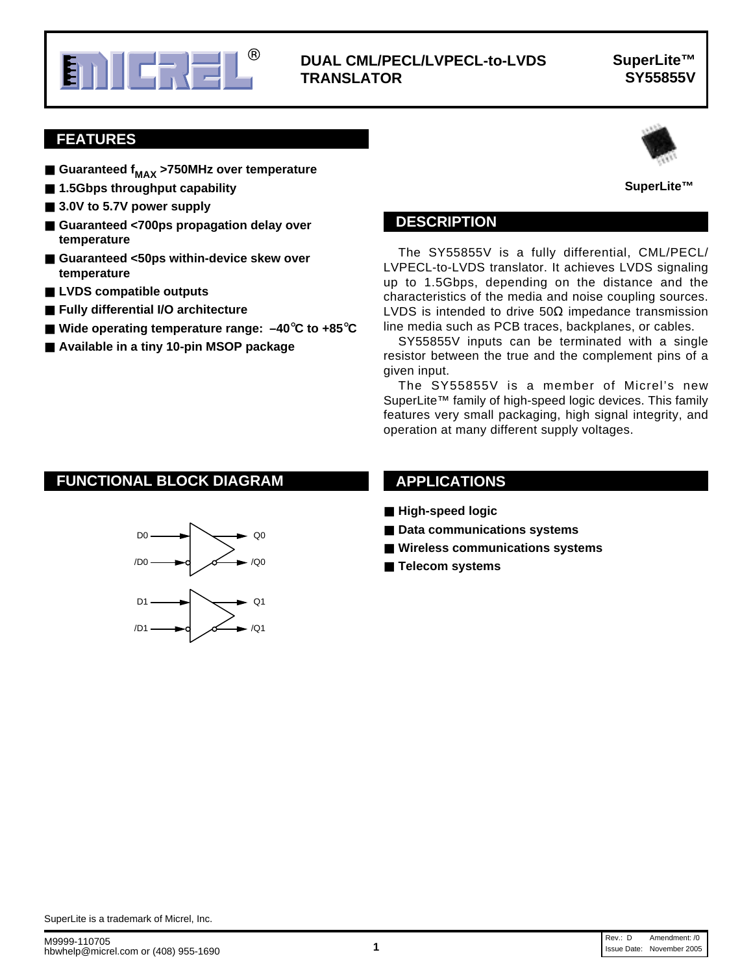

## **Microsoft CONSECLIATE IN SUPER CONSECLIATE IN SUPER CONSECLIATE IN SUPER CONSECTION IN SUPER CONSECTION IN SUPER CONSECTION IN SUPER CONSECTION IN SUPER CONSECTION IN SUPER CONSECTION IN SUPER CONSECTION IN SUPER CONSECT TRANSLATOR**

## **SuperLite™ SY55855V**

**SuperLite™**

## **FEATURES**

- Guaranteed f<sub>MAX</sub> >750MHz over temperature
- **1.5Gbps throughput capability**
- 3.0V to 5.7V power supply
- Guaranteed <700ps propagation delay over **temperature**
- Guaranteed <50ps within-device skew over **temperature**
- **LVDS** compatible outputs
- **Fully differential I/O architecture**
- **Wide operating temperature range: –40**°**C to +85**°**C**
- **Available in a tiny 10-pin MSOP package**



#### **SuperLite™**

### **DESCRIPTION**

The SY55855V is a fully differential, CML/PECL/ LVPECL-to-LVDS translator. It achieves LVDS signaling up to 1.5Gbps, depending on the distance and the characteristics of the media and noise coupling sources. LVDS is intended to drive  $50\Omega$  impedance transmission line media such as PCB traces, backplanes, or cables.

SY55855V inputs can be terminated with a single resistor between the true and the complement pins of a given input.

The SY55855V is a member of Micrel's new SuperLite™ family of high-speed logic devices. This family features very small packaging, high signal integrity, and operation at many different supply voltages.

# **FUNCTIONAL BLOCK DIAGRAM**



## **APPLICATIONS**

- **High-speed logic**
- Data communications systems
- Wireless communications systems
- **Telecom systems**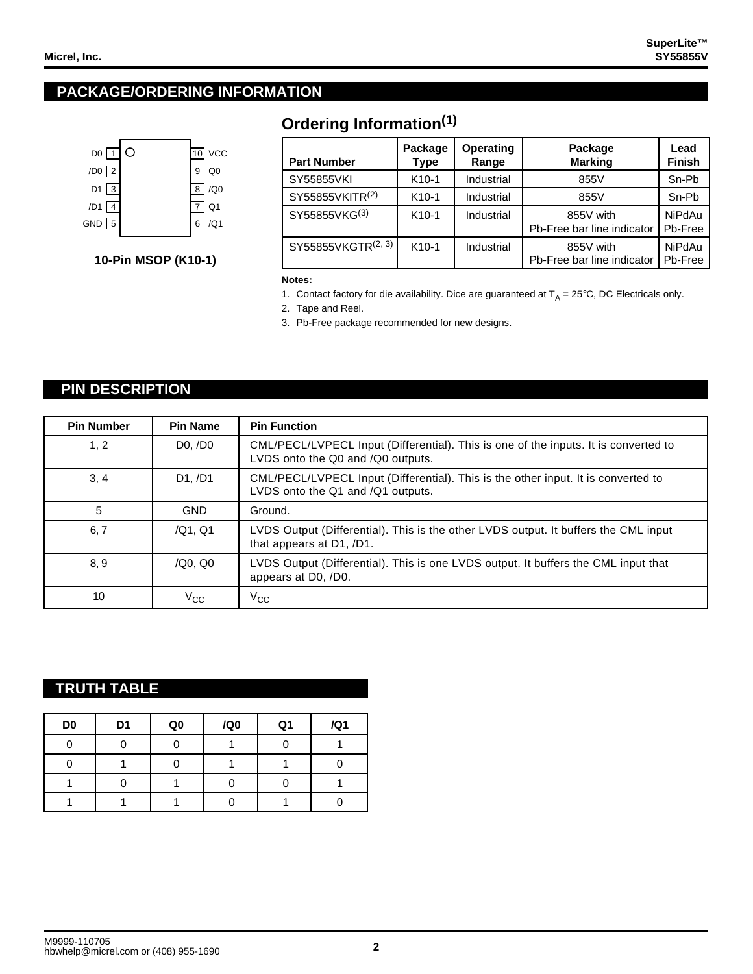# **PACKAGE/ORDERING INFORMATION**



**10-Pin MSOP (K10-1)**

# **Ordering Information(1)**

| <b>Part Number</b>             | Package<br>Type   | <b>Operating</b><br>Range | Package<br><b>Marking</b>               | Lead<br><b>Finish</b>    |
|--------------------------------|-------------------|---------------------------|-----------------------------------------|--------------------------|
| SY55855VKI                     | $K10-1$           | Industrial                | 855V                                    | Sn-Pb                    |
| SY55855VKITR(2)                | $K10-1$           | Industrial                | 855V                                    | Sn-Pb                    |
| SY55855VKG(3)                  | $K10-1$           | Industrial                | 855V with<br>Pb-Free bar line indicator | NiPdAu<br>Pb-Free        |
| SY55855VKGTR <sup>(2, 3)</sup> | K <sub>10-1</sub> | Industrial                | 855V with<br>Pb-Free bar line indicator | <b>NiPdAu</b><br>Pb-Free |

**Notes:**

1. Contact factory for die availability. Dice are guaranteed at  $T_A = 25^{\circ}$ C, DC Electricals only.

2. Tape and Reel.

3. Pb-Free package recommended for new designs.

## **PIN DESCRIPTION**

| <b>Pin Number</b> | <b>Pin Name</b>        | <b>Pin Function</b>                                                                                                      |
|-------------------|------------------------|--------------------------------------------------------------------------------------------------------------------------|
| 1, 2              | $D0$ , $/D0$           | CML/PECL/LVPECL Input (Differential). This is one of the inputs. It is converted to<br>LVDS onto the Q0 and /Q0 outputs. |
| 3, 4              | D1./D1                 | CML/PECL/LVPECL Input (Differential). This is the other input. It is converted to<br>LVDS onto the Q1 and /Q1 outputs.   |
| 5                 | <b>GND</b>             | Ground.                                                                                                                  |
| 6, 7              | /Q1, Q1                | LVDS Output (Differential). This is the other LVDS output. It buffers the CML input<br>that appears at D1, /D1.          |
| 8, 9              | $/Q0$ , Q <sub>0</sub> | LVDS Output (Differential). This is one LVDS output. It buffers the CML input that<br>appears at D0, /D0.                |
| 10                | $\rm V_{CC}$           | $\rm v_{cc}$                                                                                                             |

## **TRUTH TABLE**

| D <sub>0</sub> | D <sub>1</sub> | Q <sub>0</sub> | /Q0 | Q <sub>1</sub> | /Q1 |
|----------------|----------------|----------------|-----|----------------|-----|
|                |                |                |     |                |     |
|                |                |                |     |                |     |
|                |                |                |     |                |     |
|                |                |                |     |                |     |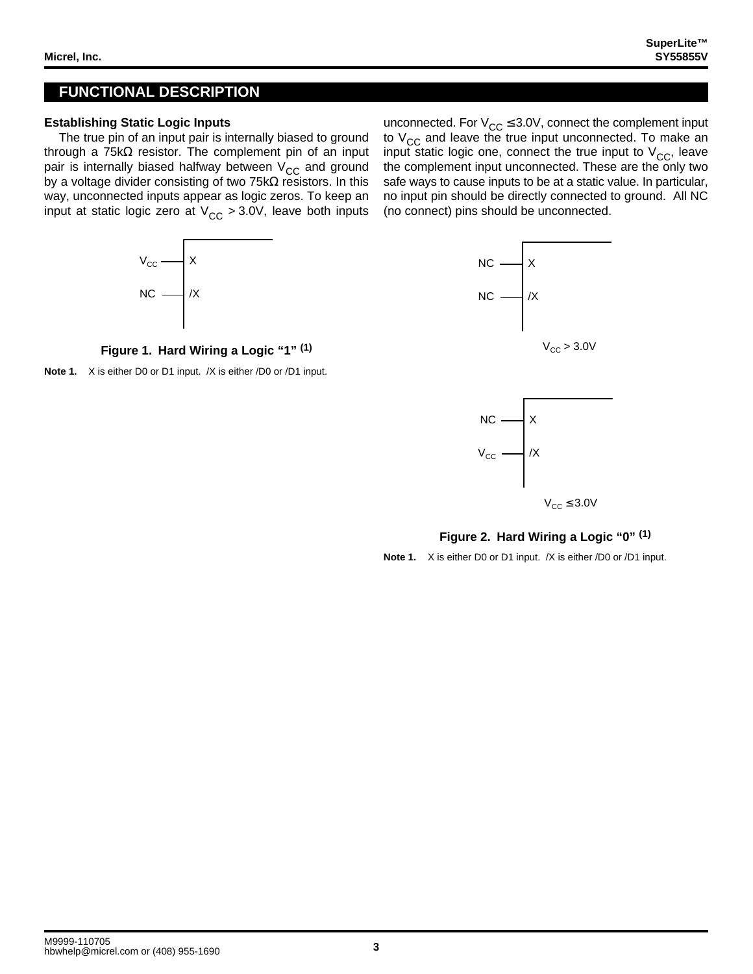## **FUNCTIONAL DESCRIPTION**

#### **Establishing Static Logic Inputs**

 $V_{\rm CC}$ 

NC

The true pin of an input pair is internally biased to ground through a 75k $\Omega$  resistor. The complement pin of an input pair is internally biased halfway between  $V_{CC}$  and ground by a voltage divider consisting of two 75kΩ resistors. In this way, unconnected inputs appear as logic zeros. To keep an input at static logic zero at  $V_{CC} > 3.0V$ , leave both inputs





X

/X

unconnected. For  $V_{CC} \leq 3.0V$ , connect the complement input to  $V_{CC}$  and leave the true input unconnected. To make an input static logic one, connect the true input to  $V_{CC}$ , leave the complement input unconnected. These are the only two safe ways to cause inputs to be at a static value. In particular, no input pin should be directly connected to ground. All NC (no connect) pins should be unconnected.



### **Figure 2. Hard Wiring a Logic "0" (1)**

**Note 1.** X is either D0 or D1 input. /X is either /D0 or /D1 input.



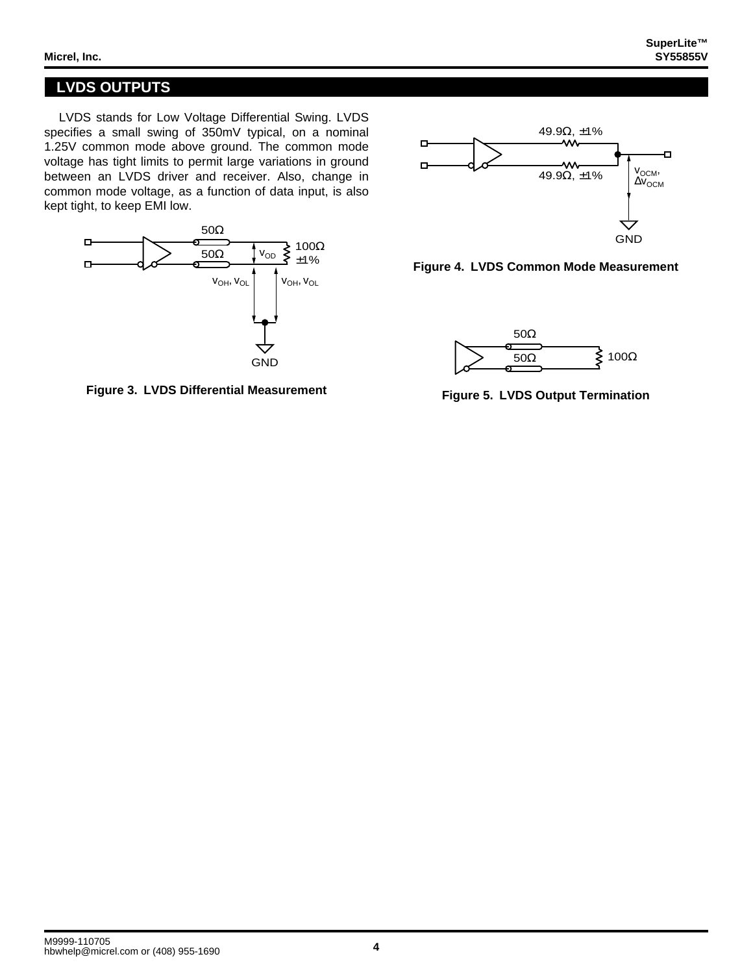# **LVDS OUTPUTS**

LVDS stands for Low Voltage Differential Swing. LVDS specifies a small swing of 350mV typical, on a nominal 1.25V common mode above ground. The common mode voltage has tight limits to permit large variations in ground between an LVDS driver and receiver. Also, change in common mode voltage, as a function of data input, is also kept tight, to keep EMI low.



**Figure 3. LVDS Differential Measurement**



**Figure 4. LVDS Common Mode Measurement**



**Figure 5. LVDS Output Termination**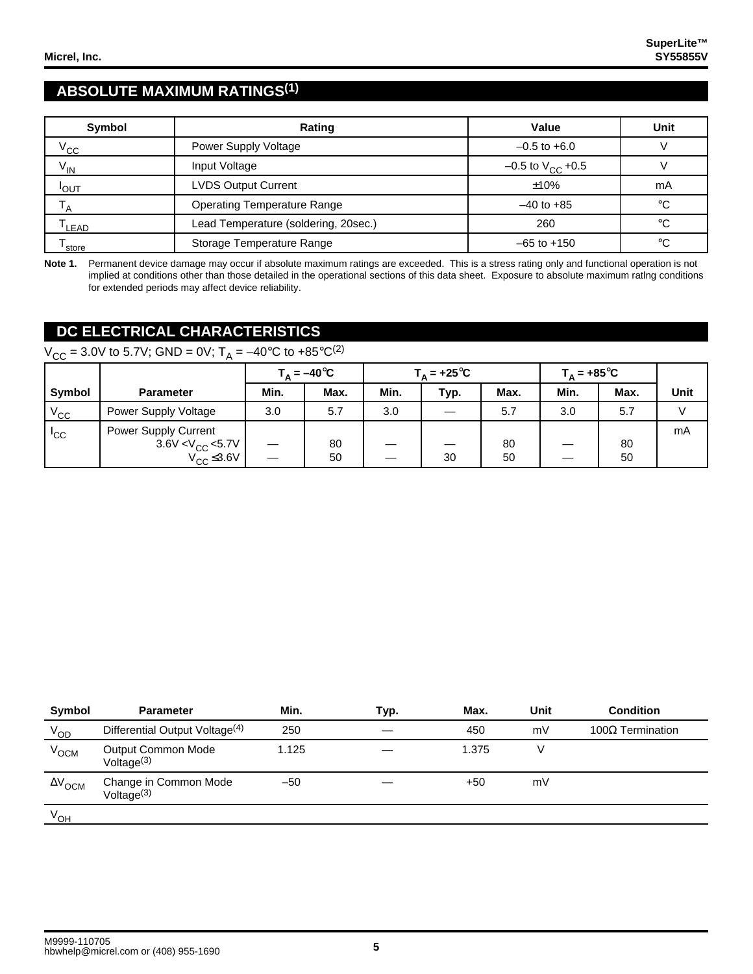# **ABSOLUTE MAXIMUM RATINGS(1)**

| Symbol            | Rating                               |                                | Unit |
|-------------------|--------------------------------------|--------------------------------|------|
| $V_{\rm CC}$      | Power Supply Voltage                 | $-0.5$ to $+6.0$               |      |
| $V_{IN}$          | Input Voltage                        | $-0.5$ to V <sub>CC</sub> +0.5 |      |
| <b>POUT</b>       | <b>LVDS Output Current</b>           | ±10%                           | mA   |
| $^{\mathsf{I}}$ A | <b>Operating Temperature Range</b>   | $-40$ to $+85$                 | °C   |
| LEAD              | Lead Temperature (soldering, 20sec.) | 260                            | °€   |
| store             | Storage Temperature Range            | $-65$ to $+150$                | °C   |

**Note 1.** Permanent device damage may occur if absolute maximum ratings are exceeded. This is a stress rating only and functional operation is not implied at conditions other than those detailed in the operational sections of this data sheet. Exposure to absolute maximum ratlng conditions for extended periods may affect device reliability.

# **DC ELECTRICAL CHARACTERISTICS**

# $V_{CC}$  = 3.0V to 5.7V; GND = 0V; T<sub>A</sub> = -40°C to +85°C<sup>(2)</sup>

|              |                                                                     | $T_A = -40^{\circ}C$ |          | $T_{\text{A}}$ = +25°C |      |          | $T_A = +85^{\circ}C$ |          |             |
|--------------|---------------------------------------------------------------------|----------------------|----------|------------------------|------|----------|----------------------|----------|-------------|
| Symbol       | <b>Parameter</b>                                                    | Min.                 | Max.     | Min.                   | Typ. | Max.     | Min.                 | Max.     | <b>Unit</b> |
| $V_{\rm CC}$ | Power Supply Voltage                                                | 3.0                  | 5.7      | 3.0                    |      | 5.7      | 3.0                  | 5.7      |             |
| $I_{\rm CC}$ | Power Supply Current<br>3.6V < $V_{CC}$ <5.7V<br>$V_{CC} \leq 3.6V$ |                      | 80<br>50 |                        | 30   | 80<br>50 |                      | 80<br>50 | mA          |

| Symbol                    | <b>Parameter</b>                           | Min.  | Typ. | Max.  | Unit | <b>Condition</b>   |
|---------------------------|--------------------------------------------|-------|------|-------|------|--------------------|
| $V_{OD}$                  | Differential Output Voltage <sup>(4)</sup> | 250   |      | 450   | mV   | $100Ω$ Termination |
| V <sub>OCM</sub>          | Output Common Mode<br>Voltage $(3)$        | 1.125 |      | 1.375 |      |                    |
| $\Delta V$ <sub>OCM</sub> | Change in Common Mode<br>Voltage $(3)$     | $-50$ |      | +50   | mV   |                    |
| $V_{OH}$                  |                                            |       |      |       |      |                    |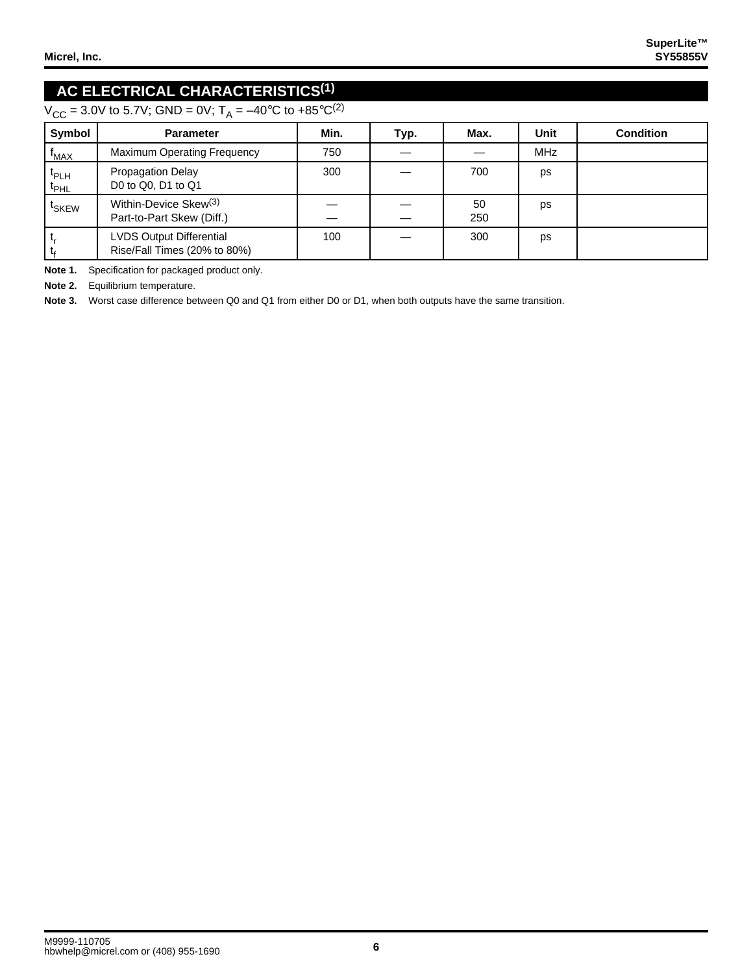# **AC ELECTRICAL CHARACTERISTICS(1)**

 $V_{CC}$  = 3.0V to 5.7V; GND = 0V; T<sub>A</sub> = -40°C to +85°C<sup>(2)</sup>

| Symbol                            | <b>Parameter</b>                                                | Min. | Typ. | Max.      | Unit | <b>Condition</b> |
|-----------------------------------|-----------------------------------------------------------------|------|------|-----------|------|------------------|
| $t_{MAX}$                         | <b>Maximum Operating Frequency</b>                              | 750  |      |           | MHz  |                  |
| t <sub>PLH</sub><br>$t_{\sf PHL}$ | <b>Propagation Delay</b><br>D0 to Q0, D1 to Q1                  | 300  |      | 700       | ps   |                  |
| <sup>t</sup> SKEW                 | Within-Device Skew <sup>(3)</sup><br>Part-to-Part Skew (Diff.)  |      |      | 50<br>250 | ps   |                  |
| ι,                                | <b>LVDS Output Differential</b><br>Rise/Fall Times (20% to 80%) | 100  |      | 300       | ps   |                  |

**Note 1.** Specification for packaged product only.

**Note 2.** Equilibrium temperature.

**Note 3.** Worst case difference between Q0 and Q1 from either D0 or D1, when both outputs have the same transition.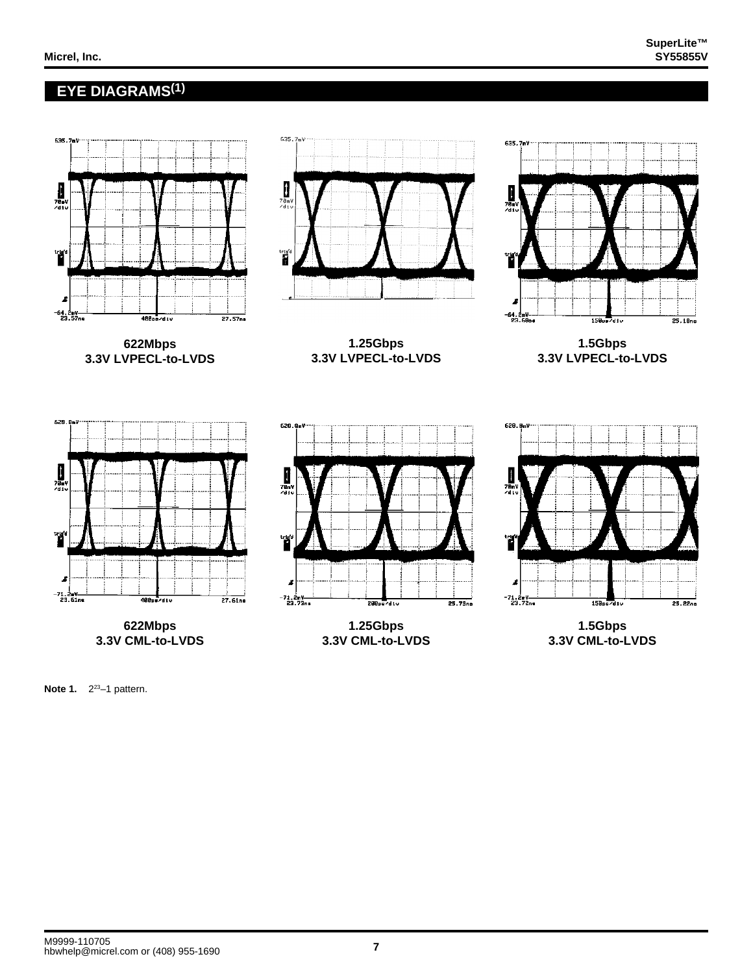635.7mV

 $25.10ns$ 

 $25.22n<sub>0</sub>$ 

635.7ml

## **EYE DIAGRAMS(1)**



635.7mV

**622Mbps 3.3V CML-to-LVDS**

290 alu **1.25Gbps 3.3V CML-to-LVDS**

**1.5Gbps 3.3V CML-to-LVDS**

**Note 1.** 2<sup>23</sup>-1 pattern.